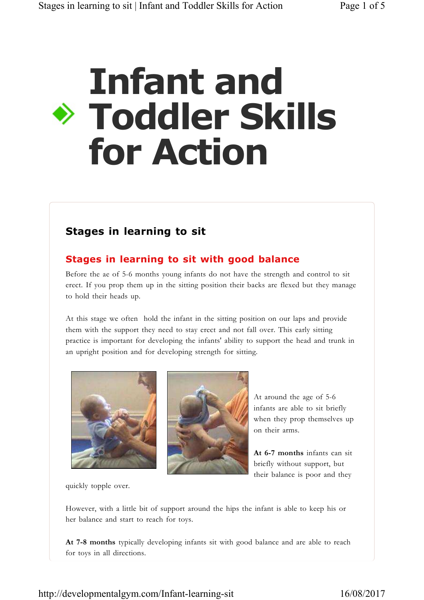# **Infant and Toddler Skills for Action**

## **Stages in learning to sit**

## **Stages in learning to sit with good balance**

Before the ae of 5-6 months young infants do not have the strength and control to sit erect. If you prop them up in the sitting position their backs are flexed but they manage to hold their heads up.

At this stage we often hold the infant in the sitting position on our laps and provide them with the support they need to stay erect and not fall over. This early sitting practice is important for developing the infants' ability to support the head and trunk in an upright position and for developing strength for sitting.





At around the age of 5-6 infants are able to sit briefly when they prop themselves up on their arms.

**At 6-7 months** infants can sit briefly without support, but their balance is poor and they

quickly topple over.

However, with a little bit of support around the hips the infant is able to keep his or her balance and start to reach for toys.

**At 7-8 months** typically developing infants sit with good balance and are able to reach for toys in all directions.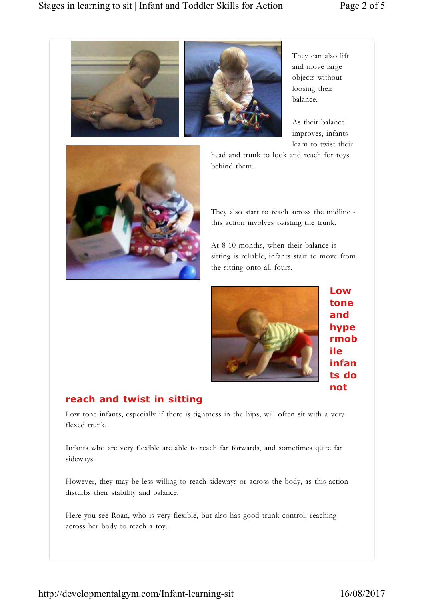



They can also lift and move large objects without loosing their balance.

As their balance improves, infants learn to twist their

head and trunk to look and reach for toys behind them.



They also start to reach across the midline this action involves twisting the trunk.

At 8-10 months, when their balance is sitting is reliable, infants start to move from the sitting onto all fours.



**Low tone and hype rmob ile infan ts do not** 

#### **reach and twist in sitting**

Low tone infants, especially if there is tightness in the hips, will often sit with a very flexed trunk.

Infants who are very flexible are able to reach far forwards, and sometimes quite far sideways.

However, they may be less willing to reach sideways or across the body, as this action disturbs their stability and balance.

Here you see Roan, who is very flexible, but also has good trunk control, reaching across her body to reach a toy.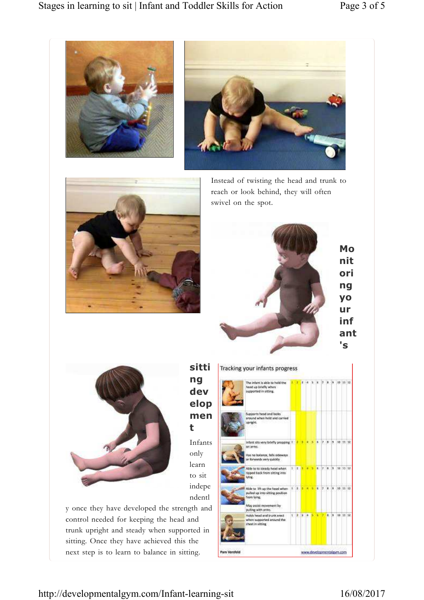





Instead of twisting the head and trunk to reach or look behind, they will often swivel on the spot.





**sitti ng dev elop men t** 

Infants only learn to sit indepe ndentl

y once they have developed the strength and control needed for keeping the head and trunk upright and steady when supported in sitting. Once they have achieved this the next step is to learn to balance in sitting.

| The infant is able to hold the<br>head up briefly when<br>supported in sitting.                                                        |       |  |                   |     |     | 10 15 12   |          |  |
|----------------------------------------------------------------------------------------------------------------------------------------|-------|--|-------------------|-----|-----|------------|----------|--|
| Supports head and looks<br>around when held and carried<br>upright.                                                                    |       |  |                   |     |     |            |          |  |
| Infant sits very briefly propping 1 2 3 4 5 6 7 8 3<br>an anns.<br>Has no balance, talk sideways<br>or forwards very quickly           |       |  |                   |     |     | 10 11 12   |          |  |
| Able to to steady head when<br>tisped back from sitting into<br>Mne.                                                                   |       |  | 1 1 3 4 5 6 7 8 3 |     |     | 10 120 127 |          |  |
| Able to 1th up the head when 1 2 3 8<br>pulled up into sitting position<br>from Wine.<br>Way assist movement by<br>pulling with arms." |       |  | c                 | iz. | ia. | 30 35 12   |          |  |
| Holch head and trunk enect<br>when supported around the<br>chest in sitting                                                            | 123.1 |  |                   |     | ×   |            | 10 11 12 |  |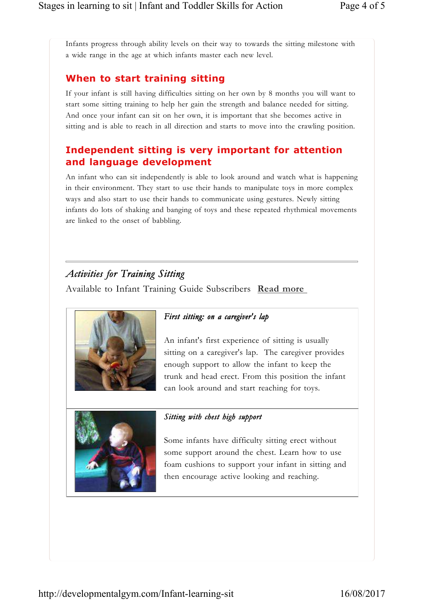Infants progress through ability levels on their way to towards the sitting milestone with a wide range in the age at which infants master each new level.

#### **When to start training sitting**

If your infant is still having difficulties sitting on her own by 8 months you will want to start some sitting training to help her gain the strength and balance needed for sitting. And once your infant can sit on her own, it is important that she becomes active in sitting and is able to reach in all direction and starts to move into the crawling position.

#### **Independent sitting is very important for attention and language development**

An infant who can sit independently is able to look around and watch what is happening in their environment. They start to use their hands to manipulate toys in more complex ways and also start to use their hands to communicate using gestures. Newly sitting infants do lots of shaking and banging of toys and these repeated rhythmical movements are linked to the onset of babbling.

### *Activities for Training Sitting*

Available to Infant Training Guide Subscribers **Read more** 



#### *First sitting: on a caregiver's lap*

An infant's first experience of sitting is usually sitting on a caregiver's lap. The caregiver provides enough support to allow the infant to keep the trunk and head erect. From this position the infant can look around and start reaching for toys.



#### *Sitting with chest high support*

Some infants have difficulty sitting erect without some support around the chest. Learn how to use foam cushions to support your infant in sitting and then encourage active looking and reaching.